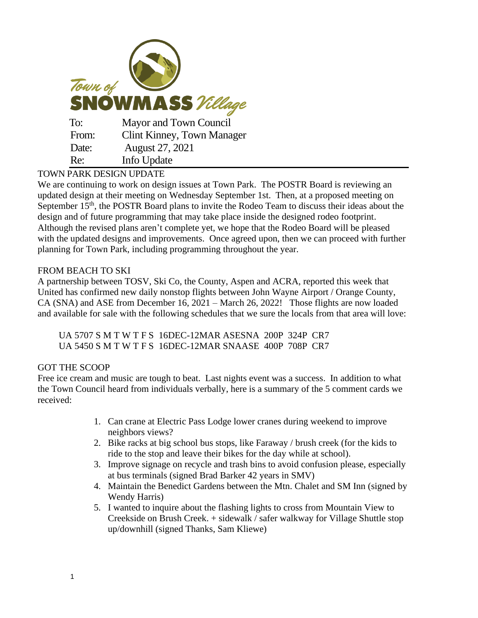| Town of<br><b>SNOWMASS</b> Village |                                   |
|------------------------------------|-----------------------------------|
| To:                                | Mayor and Town Council            |
| From:                              | <b>Clint Kinney, Town Manager</b> |
| Date:                              | August 27, 2021                   |
| Re:                                | Info Update                       |

## TOWN PARK DESIGN UPDATE

We are continuing to work on design issues at Town Park. The POSTR Board is reviewing an updated design at their meeting on Wednesday September 1st. Then, at a proposed meeting on September 15<sup>th</sup>, the POSTR Board plans to invite the Rodeo Team to discuss their ideas about the design and of future programming that may take place inside the designed rodeo footprint. Although the revised plans aren't complete yet, we hope that the Rodeo Board will be pleased with the updated designs and improvements. Once agreed upon, then we can proceed with further planning for Town Park, including programming throughout the year.

## FROM BEACH TO SKI

A partnership between TOSV, Ski Co, the County, Aspen and ACRA, reported this week that United has confirmed new daily nonstop flights between John Wayne Airport / Orange County, CA (SNA) and ASE from December 16, 2021 – March 26, 2022! Those flights are now loaded and available for sale with the following schedules that we sure the locals from that area will love:

UA 5707 S M T W T F S 16DEC-12MAR ASESNA 200P 324P CR7 UA 5450 S M T W T F S 16DEC-12MAR SNAASE 400P 708P CR7

## GOT THE SCOOP

Free ice cream and music are tough to beat. Last nights event was a success. In addition to what the Town Council heard from individuals verbally, here is a summary of the 5 comment cards we received:

- 1. Can crane at Electric Pass Lodge lower cranes during weekend to improve neighbors views?
- 2. Bike racks at big school bus stops, like Faraway / brush creek (for the kids to ride to the stop and leave their bikes for the day while at school).
- 3. Improve signage on recycle and trash bins to avoid confusion please, especially at bus terminals (signed Brad Barker 42 years in SMV)
- 4. Maintain the Benedict Gardens between the Mtn. Chalet and SM Inn (signed by Wendy Harris)
- 5. I wanted to inquire about the flashing lights to cross from Mountain View to Creekside on Brush Creek. + sidewalk / safer walkway for Village Shuttle stop up/downhill (signed Thanks, Sam Kliewe)